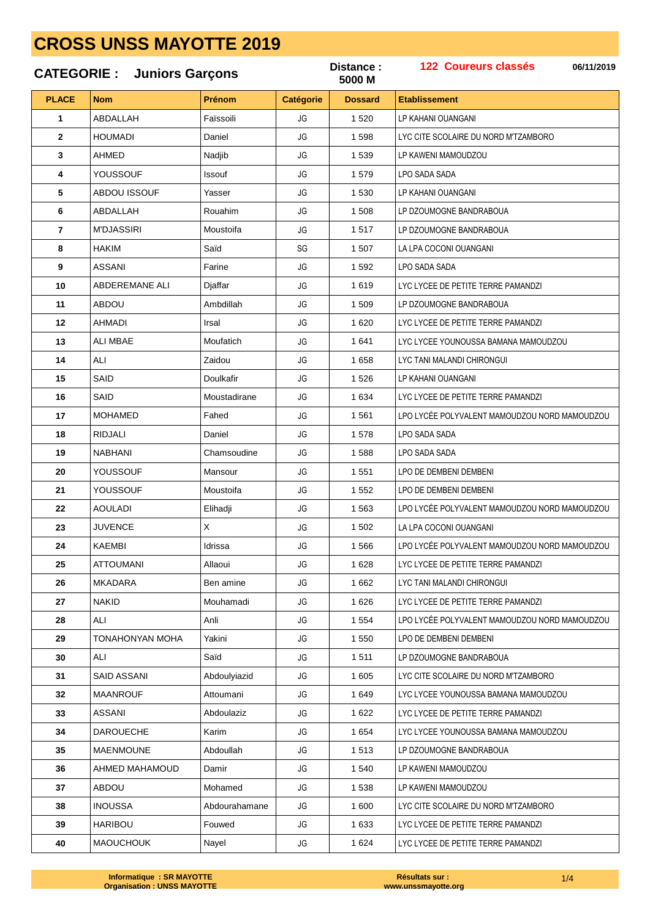#### 122 Coureurs classés Distance: 06/11/2019 **CATEGORIE:** Juniors Garçons 5000 M **PLACE** Prénom **Etablissement Nom Catégorie Dossard** ARDALLAH Enjecoili  $1520$  $\overline{1}$ JG. **I P KAHANI OUANGANI HOUMADI** Daniel  $lG$ LYC CITE SCOLAIRE DU NORD M'TZAMBORO  $\overline{\phantom{a}}$ 1 5 9 8 3 AHMED Nadjib JG 1 539 **I P KAWENI MAMOUDZOU** YOUSSOUF 4 Issouf JG 1.579 LPO SADA SADA 5 ABDOU ISSOUF Yasser JG 1 5 3 0 LP KAHANI OUANGANI 6 ABDALLAH Rouahim JG 1 508 LP DZOUMOGNE BANDRABOUA **M'DJASSIRI** Moustoifa 1517  $\overline{7}$ JG LP DZOUMOGNE BANDRABOUA 8 **HAKIM** Saïd  $SG$ **LA LPA COCONLOUANGANI** 1.507  $\mathbf{q}$ **ASSANI** Farine JG 1 5 9 2 LPO SADA SADA  $10$ **ABDEREMANE ALI** Diaffar JG 1619 LYC LYCEE DE PETITE TERRE PAMANDZI  $11$ ARDOL Ambdillah JG 1 509 LP DZOUMOGNE BANDRABOUA  $12$ **AHMADI** Irsal JG  $1620$ LYC LYCEE DE PETITE TERRE PAMANDZI  $13$ ALL MBAF  $lG$ 1641 LYC LYCEE YOUNOUSSA BAMANA MAMOUDZOU Moufatich  $14$ AI I **Zaidou**  $I<sub>G</sub>$ 1.658 **I YC TANI MAI ANDI CHIRONGU** SAID Doulkafir JG 1.526 **I P KAHANI OUANGANI** 15 SAID 16 Moustadirane JG 1 6 3 4 LYC LYCEE DE PETITE TERRE PAMANDZI  $17$ **MOHAMED** Fahed  $\overline{1}$ 1561 LPO LYCÉE POLYVALENT MAMOUDZOU NORD MAMOUDZOU 18 RID.IAI I Daniel JG 1 578 **I PO SADA SADA** 19 **NABHANI** Chamsoudine JG 1588 LPO SADA SADA YOUSSOUF 20 Mansour JG 1 551 LPO DE DEMBENI DEMBENI  $2<sub>1</sub>$ YOUSSOUF Moustoifa JG 1 5 5 2 LPO DE DEMBENI DEMBENI  $22$ **AOULADI** Elihadji JG 1 5 6 3 LPO LYCÉE POLYVALENT MAMOUDZOU NORD MAMOUDZOU 23 **JUVENCE** Χ JG 1 502 LA LPA COCONI OUANGANI **KAEMBI** Idrissa JG LPO LYCÉE POLYVALENT MAMOUDZOU NORD MAMOUDZOU  $24$ 1 5 6 6 25 **ATTOUMANI** Allaoui JG 1.628 LYC LYCEE DE PETITE TERRE PAMANDZI **MKADARA** JG 1 6 6 2 **LYC TANI MALANDI CHIRONGUI** 26 Ben amine  $27$ **NAKID** Mouhamadi  $\overline{1}$  $1626$ LYC LYCEE DE PETITE TERRE PAMANDZI 28 ALI Anli JG 1 5 5 4 LPO LYCÉE POLYVALENT MAMOUDZOU NORD MAMOUDZOU 29 **TONAHONYAN MOHA** Yakini  $JG$ 1.550 LPO DE DEMBENI DEMBENI  $30$ AI I  $JG$ 1 5 1 1 **I P DZOUMOGNE BANDRABOUA** Saïd  $31$ **SAID ASSANI**  $lG$  $1605$ LYC CITE SCOLAIRE DU NORD M'TZAMBORO Abdoulviazid 32 **MAANROUF** Attoumani JG, 1 649 LYC LYCEE YOUNOUSSA BAMANA MAMOUDZOU ASSANI Ahdoulaziz  $\overline{1}$  $1622$ **I YC I YCEE DE PETITE TERRE PAMANDZI**  $33$  $34$ **DAROUFCHE** Karim  $IG$ 1654 LYC LYCEE YOUNOUSSA BAMANA MAMOUDZOU **MAENMOUNF** 35 Ahdoullah  $lG$ 1.513 **I P DZOUMOGNE BANDRABOUA** 36 AHMED MAHAMOUD Domin JG  $1,540$ LP KAWENI MAMOUDZOU 37 ARDOU Mohamed JG 1.538 LP KAWENI MAMOUDZOU 38 **INOUSSA** Abdourahamane JG 1 600 LYC CITE SCOLAIRE DU NORD M'TZAMBORO 39 **HARIBOU** Fouwed JG. 1 633 LYC LYCEE DE PETITE TERRE PAMANDZI 40 **MAOUCHOUK** Nayel JG 1 6 2 4 LYC LYCEE DE PETITE TERRE PAMANDZI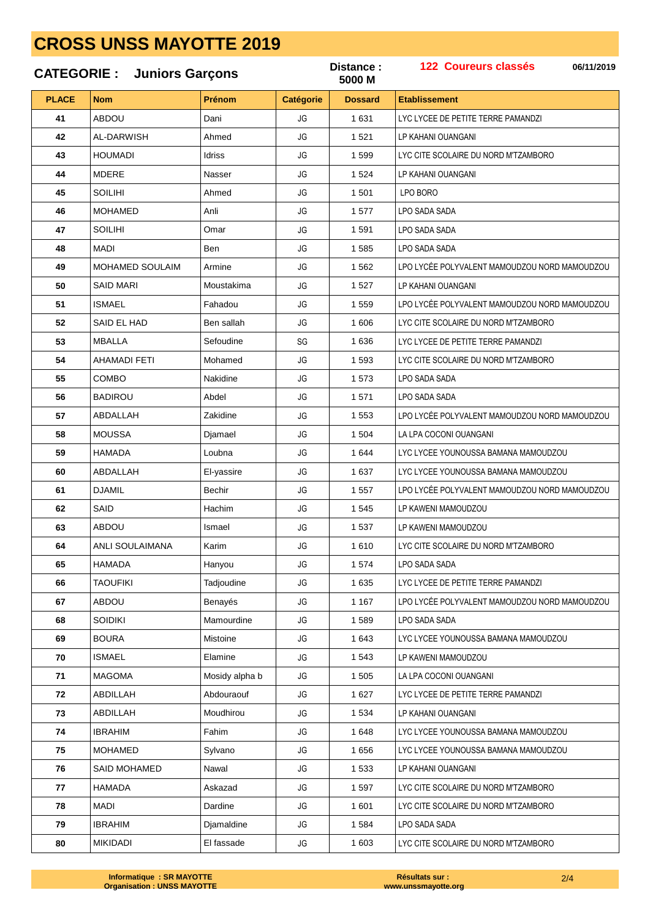|              | <b>CATEGORIE: Juniors Garçons</b> |                | Distance:<br>5000 M | <b>122 Coureurs classés</b><br>06/11/2019 |                                               |
|--------------|-----------------------------------|----------------|---------------------|-------------------------------------------|-----------------------------------------------|
| <b>PLACE</b> | <b>Nom</b>                        | Prénom         | <b>Catégorie</b>    | <b>Dossard</b>                            | <b>Etablissement</b>                          |
| 41           | <b>ABDOU</b>                      | Dani           | JG                  | 1 631                                     | LYC LYCEE DE PETITE TERRE PAMANDZI            |
| 42           | AL-DARWISH                        | Ahmed          | JG                  | 1 5 2 1                                   | LP KAHANI OUANGANI                            |
| 43           | <b>HOUMADI</b>                    | Idriss         | JG                  | 1 5 9 9                                   | LYC CITE SCOLAIRE DU NORD M'TZAMBORO          |
| 44           | <b>MDERE</b>                      | Nasser         | JG                  | 1 5 2 4                                   | LP KAHANI OUANGANI                            |
| 45           | <b>SOILIHI</b>                    | Ahmed          | JG                  | 1 501                                     | LPO BORO                                      |
| 46           | <b>MOHAMED</b>                    | Anli           | JG                  | 1577                                      | LPO SADA SADA                                 |
| 47           | <b>SOILIHI</b>                    | Omar           | JG                  | 1 5 9 1                                   | LPO SADA SADA                                 |
| 48           | <b>MADI</b>                       | Ben            | JG                  | 1 5 8 5                                   | LPO SADA SADA                                 |
| 49           | <b>MOHAMED SOULAIM</b>            | Armine         | JG                  | 1 5 6 2                                   | LPO LYCÉE POLYVALENT MAMOUDZOU NORD MAMOUDZOU |
| 50           | <b>SAID MARI</b>                  | Moustakima     | JG                  | 1 5 2 7                                   | LP KAHANI OUANGANI                            |
| 51           | ISMAEL                            | Fahadou        | JG                  | 1 559                                     | LPO LYCÉE POLYVALENT MAMOUDZOU NORD MAMOUDZOU |
| 52           | SAID EL HAD                       | Ben sallah     | JG                  | 1 606                                     | LYC CITE SCOLAIRE DU NORD M'TZAMBORO          |
| 53           | <b>MBALLA</b>                     | Sefoudine      | SG                  | 1636                                      | LYC LYCEE DE PETITE TERRE PAMANDZI            |
| 54           | AHAMADI FETI                      | Mohamed        | JG                  | 1 5 9 3                                   | LYC CITE SCOLAIRE DU NORD M'TZAMBORO          |
| 55           | COMBO                             | Nakidine       | JG                  | 1573                                      | LPO SADA SADA                                 |
| 56           | <b>BADIROU</b>                    | Abdel          | JG                  | 1571                                      | LPO SADA SADA                                 |
| 57           | ABDALLAH                          | Zakidine       | JG                  | 1 5 5 3                                   | LPO LYCÉE POLYVALENT MAMOUDZOU NORD MAMOUDZOU |
| 58           | <b>MOUSSA</b>                     | Djamael        | JG                  | 1 504                                     | LA LPA COCONI OUANGANI                        |
| 59           | <b>HAMADA</b>                     | Loubna         | JG                  | 1 644                                     | LYC LYCEE YOUNOUSSA BAMANA MAMOUDZOU          |
| 60           | ABDALLAH                          | El-yassire     | JG                  | 1 637                                     | LYC LYCEE YOUNOUSSA BAMANA MAMOUDZOU          |
| 61           | <b>DJAMIL</b>                     | Bechir         | JG                  | 1 5 5 7                                   | LPO LYCÉE POLYVALENT MAMOUDZOU NORD MAMOUDZOU |
| 62           | SAID                              | Hachim         | JG                  | 1 5 4 5                                   | LP KAWENI MAMOUDZOU                           |
| 63           | <b>ABDOU</b>                      | Ismael         | JG                  | 1 537                                     | LP KAWENI MAMOUDZOU                           |
| 64           | ANLI SOULAIMANA                   | Karim          | JG                  | 1610                                      | LYC CITE SCOLAIRE DU NORD M'TZAMBORO          |
| 65           | <b>HAMADA</b>                     | Hanyou         | JG                  | 1574                                      | LPO SADA SADA                                 |
| 66           | <b>TAOUFIKI</b>                   | Tadjoudine     | JG                  | 1 6 3 5                                   | LYC LYCEE DE PETITE TERRE PAMANDZI            |
| 67           | ABDOU                             | Benayés        | JG                  | 1 1 6 7                                   | LPO LYCÉE POLYVALENT MAMOUDZOU NORD MAMOUDZOU |
| 68           | <b>SOIDIKI</b>                    | Mamourdine     | JG                  | 1589                                      | LPO SADA SADA                                 |
| 69           | <b>BOURA</b>                      | Mistoine       | JG                  | 1 6 4 3                                   | LYC LYCEE YOUNOUSSA BAMANA MAMOUDZOU          |
| 70           | ISMAEL                            | Elamine        | JG                  | 1 5 4 3                                   | LP KAWENI MAMOUDZOU                           |
| 71           | <b>MAGOMA</b>                     | Mosidy alpha b | JG                  | 1 505                                     | LA LPA COCONI OUANGANI                        |
| 72           | ABDILLAH                          | Abdouraouf     | JG                  | 1 6 2 7                                   | LYC LYCEE DE PETITE TERRE PAMANDZI            |
| 73           | ABDILLAH                          | Moudhirou      | JG                  | 1 5 3 4                                   | LP KAHANI OUANGANI                            |
| 74           | <b>IBRAHIM</b>                    | Fahim          | JG                  | 1 6 4 8                                   | LYC LYCEE YOUNOUSSA BAMANA MAMOUDZOU          |
| 75           | MOHAMED                           | Sylvano        | JG                  | 1656                                      | LYC LYCEE YOUNOUSSA BAMANA MAMOUDZOU          |
| 76           | SAID MOHAMED                      | Nawal          | JG                  | 1 5 3 3                                   | LP KAHANI OUANGANI                            |
| 77           | <b>HAMADA</b>                     | Askazad        | JG                  | 1597                                      | LYC CITE SCOLAIRE DU NORD M'TZAMBORO          |
| 78           | MADI                              | Dardine        | JG                  | 1 601                                     | LYC CITE SCOLAIRE DU NORD M'TZAMBORO          |
| 79           | <b>IBRAHIM</b>                    | Djamaldine     | JG                  | 1 5 8 4                                   | LPO SADA SADA                                 |
| 80           | <b>MIKIDADI</b>                   | El fassade     | JG                  | 1 603                                     | LYC CITE SCOLAIRE DU NORD M'TZAMBORO          |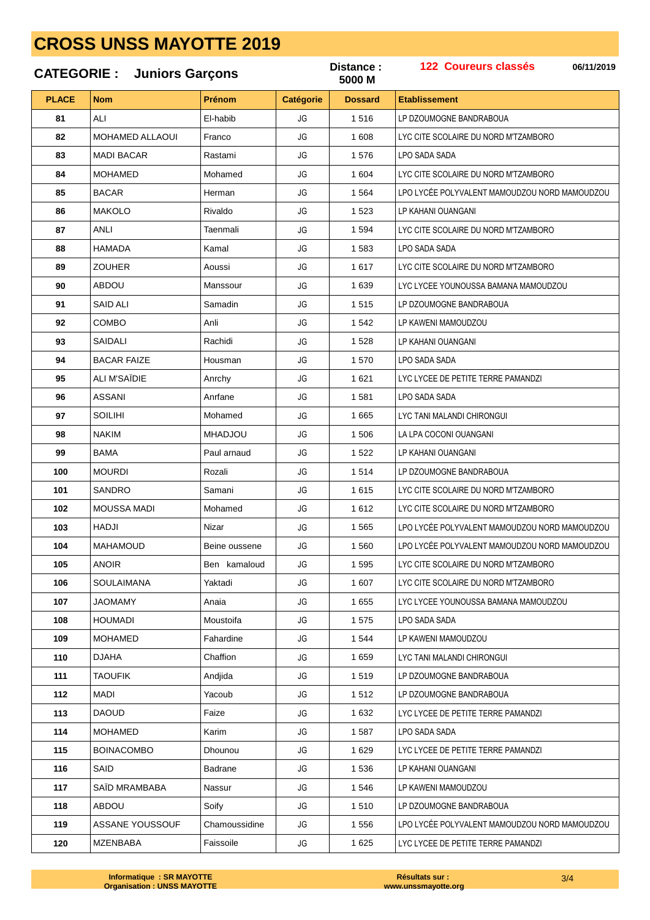#### **CATEGORIE : Juniors Garçons PLACE Nom Prénom Catégorie Dossard Etablissement 06/11/2019 Catégorie Distance : 122 Coureurs classés M** ALI El-habib JG 1 516 LP DZOUMOGNE BANDRABOUA MOHAMED ALLAOUI Franco JG 1 608 LYC CITE SCOLAIRE DU NORD M'TZAMBORO MADI BACAR Rastami JG 1576 LPO SADA SADA 84 | MOHAMED | Mohamed | JG | 1 604 | LYC CITE SCOLAIRE DU NORD M'TZAMBORO 85 BACAR Herman JG 1 564 LPO LYCÉE POLYVALENT MAMOUDZOU NORD MAMOUDZOU MAKOLO Rivaldo JG 1 523 LP KAHANI OUANGANI ANLI Taenmali JG 1 594 LYC CITE SCOLAIRE DU NORD M'TZAMBORO HAMADA Kamal JG 1 583 LPO SADA SADA ZOUHER Aoussi JG 1617 LYC CITE SCOLAIRE DU NORD M'TZAMBORO ABDOU Manssour JG 1 639 LYC LYCEE YOUNOUSSA BAMANA MAMOUDZOU SAID ALI Samadin JG 1 515 LP DZOUMOGNE BANDRABOUA COMBO Anli JG 1542 LP KAWENI MAMOUDZOU SAIDALI Rachidi JG 1 528 LP KAHANI OUANGANI BACAR FAIZE Housman JG 1 570 LPO SADA SADA ALI M'SAÏDIE Anrchy JG 1 621 LYC LYCEE DE PETITE TERRE PAMANDZI ASSANI Anrfane JG 1581 LPO SADA SADA SOILIHI Mohamed JG 1 665 LYC TANI MALANDI CHIRONGUI NAKIM MHADJOU JG 1 506 LA LPA COCONI OUANGANI BAMA **Paul arnaud** JG 1522 LP KAHANI OUANGANI MOURDI Rozali JG 1 514 LP DZOUMOGNE BANDRABOUA SANDRO Samani JG 1615 LYC CITE SCOLAIRE DU NORD M'TZAMBORO MOUSSA MADI Mohamed JG 1612 LYC CITE SCOLAIRE DU NORD M'TZAMBORO HADJI | Nizar | JG | 1565 | LPO LYCÉE POLYVALENT MAMOUDZOU NORD MAMOUDZOU MAHAMOUD Beine oussene JG 1560 LPO LYCÉE POLYVALENT MAMOUDZOU NORD MAMOUDZOU ANOIR Ben kamaloud JG 1595 LYC CITE SCOLAIRE DU NORD M'TZAMBORO SOULAIMANA Yaktadi JG 1 607 LYC CITE SCOLAIRE DU NORD M'TZAMBORO JAOMAMY Anaia JG 1655 LYC LYCEE YOUNOUSSA BAMANA MAMOUDZOU HOUMADI Moustoifa JG 1 575 LPO SADA SADA 109 | MOHAMED | Fahardine | JG | 1544 | LP KAWENI MAMOUDZOU DJAHA Chaffion JG 1 659 LYC TANI MALANDI CHIRONGUI TAOUFIK Andiida JG 1519 LP DZOUMOGNE BANDRABOUA 112 | MADI | Yacoub | JG | 1512 | LP DZOUMOGNE BANDRABOUA DAOUD Faize JG 1 632 LYC LYCEE DE PETITE TERRE PAMANDZI | MOHAMED | Karim | JG | 1 587 | LPO SADA SADA BOINACOMBO Dhounou JG 1 629 LYC LYCEE DE PETITE TERRE PAMANDZI SAID Badrane JG 1536 LP KAHANI OUANGANI SAÏD MRAMBABA Nassur JG 1546 LP KAWENI MAMOUDZOU ABDOU Soify **JG** 1510 LP DZOUMOGNE BANDRABOUA 119 ASSANE YOUSSOUF Chamoussidine JG 1556 LPO LYCE POLYVALENT MAMOUDZOU NORD MAMOUDZOU

MZENBABA Faissoile JG 1 625 LYC LYCEE DE PETITE TERRE PAMANDZI